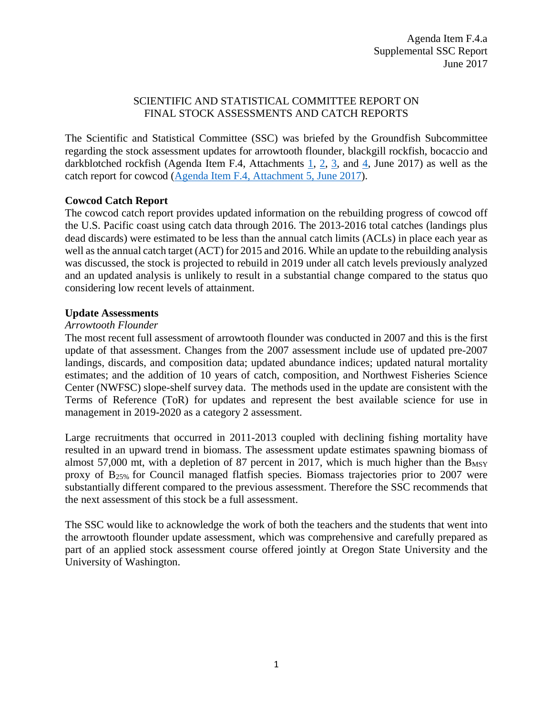# SCIENTIFIC AND STATISTICAL COMMITTEE REPORT ON FINAL STOCK ASSESSMENTS AND CATCH REPORTS

The Scientific and Statistical Committee (SSC) was briefed by the Groundfish Subcommittee regarding the stock assessment updates for arrowtooth flounder, blackgill rockfish, bocaccio and darkblotched rockfish (Agenda Item F.4, Attachments [1,](http://www.pcouncil.org/wp-content/uploads/2017/05/F4_Att1_2017_Arrowtooth_Assessment_DraftFull_Version_Electronic_Only_Jun2017BB.pdf) [2,](http://www.pcouncil.org/wp-content/uploads/2017/05/F4_Att2_bgill_2017_DraftFull-ElectronicOnly_Jun2017BB.pdf) [3,](http://www.pcouncil.org/wp-content/uploads/2017/05/F4_Att3__2017_Bocaccio_Assessment_DraftFull_Version_Electronic_Only_Jun2017BB.pdf) and [4,](http://www.pcouncil.org/wp-content/uploads/2017/05/F4_Att4_DBRK_2017_Assessment_Update_Full-ElectronicOnly_Jun2017BB.pdf) June 2017) as well as the catch report for cowcod [\(Agenda Item F.4, Attachment 5, June 2017\)](http://www.pcouncil.org/wp-content/uploads/2017/05/F4_Att5_CowcodCatchReport_Jun2017BB.pdf).

# **Cowcod Catch Report**

The cowcod catch report provides updated information on the rebuilding progress of cowcod off the U.S. Pacific coast using catch data through 2016. The 2013-2016 total catches (landings plus dead discards) were estimated to be less than the annual catch limits (ACLs) in place each year as well as the annual catch target (ACT) for 2015 and 2016. While an update to the rebuilding analysis was discussed, the stock is projected to rebuild in 2019 under all catch levels previously analyzed and an updated analysis is unlikely to result in a substantial change compared to the status quo considering low recent levels of attainment.

# **Update Assessments**

### *Arrowtooth Flounder*

The most recent full assessment of arrowtooth flounder was conducted in 2007 and this is the first update of that assessment. Changes from the 2007 assessment include use of updated pre-2007 landings, discards, and composition data; updated abundance indices; updated natural mortality estimates; and the addition of 10 years of catch, composition, and Northwest Fisheries Science Center (NWFSC) slope-shelf survey data. The methods used in the update are consistent with the Terms of Reference (ToR) for updates and represent the best available science for use in management in 2019-2020 as a category 2 assessment.

Large recruitments that occurred in 2011-2013 coupled with declining fishing mortality have resulted in an upward trend in biomass. The assessment update estimates spawning biomass of almost 57,000 mt, with a depletion of 87 percent in 2017, which is much higher than the  $B_{MSY}$ proxy of B25% for Council managed flatfish species. Biomass trajectories prior to 2007 were substantially different compared to the previous assessment. Therefore the SSC recommends that the next assessment of this stock be a full assessment.

The SSC would like to acknowledge the work of both the teachers and the students that went into the arrowtooth flounder update assessment, which was comprehensive and carefully prepared as part of an applied stock assessment course offered jointly at Oregon State University and the University of Washington.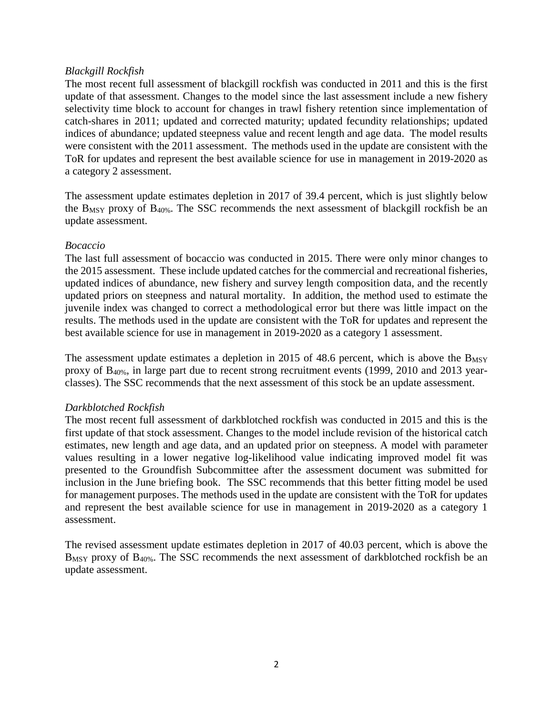# *Blackgill Rockfish*

The most recent full assessment of blackgill rockfish was conducted in 2011 and this is the first update of that assessment. Changes to the model since the last assessment include a new fishery selectivity time block to account for changes in trawl fishery retention since implementation of catch-shares in 2011; updated and corrected maturity; updated fecundity relationships; updated indices of abundance; updated steepness value and recent length and age data. The model results were consistent with the 2011 assessment. The methods used in the update are consistent with the ToR for updates and represent the best available science for use in management in 2019-2020 as a category 2 assessment.

The assessment update estimates depletion in 2017 of 39.4 percent, which is just slightly below the BMSY proxy of B40%. The SSC recommends the next assessment of blackgill rockfish be an update assessment.

### *Bocaccio*

The last full assessment of bocaccio was conducted in 2015. There were only minor changes to the 2015 assessment. These include updated catches for the commercial and recreational fisheries, updated indices of abundance, new fishery and survey length composition data, and the recently updated priors on steepness and natural mortality. In addition, the method used to estimate the juvenile index was changed to correct a methodological error but there was little impact on the results. The methods used in the update are consistent with the ToR for updates and represent the best available science for use in management in 2019-2020 as a category 1 assessment.

The assessment update estimates a depletion in 2015 of 48.6 percent, which is above the  $B_{MST}$ proxy of B40%, in large part due to recent strong recruitment events (1999, 2010 and 2013 yearclasses). The SSC recommends that the next assessment of this stock be an update assessment.

# *Darkblotched Rockfish*

The most recent full assessment of darkblotched rockfish was conducted in 2015 and this is the first update of that stock assessment. Changes to the model include revision of the historical catch estimates, new length and age data, and an updated prior on steepness. A model with parameter values resulting in a lower negative log-likelihood value indicating improved model fit was presented to the Groundfish Subcommittee after the assessment document was submitted for inclusion in the June briefing book. The SSC recommends that this better fitting model be used for management purposes. The methods used in the update are consistent with the ToR for updates and represent the best available science for use in management in 2019-2020 as a category 1 assessment.

The revised assessment update estimates depletion in 2017 of 40.03 percent, which is above the  $B_{MSY}$  proxy of  $B_{40\%}$ . The SSC recommends the next assessment of darkblotched rockfish be an update assessment.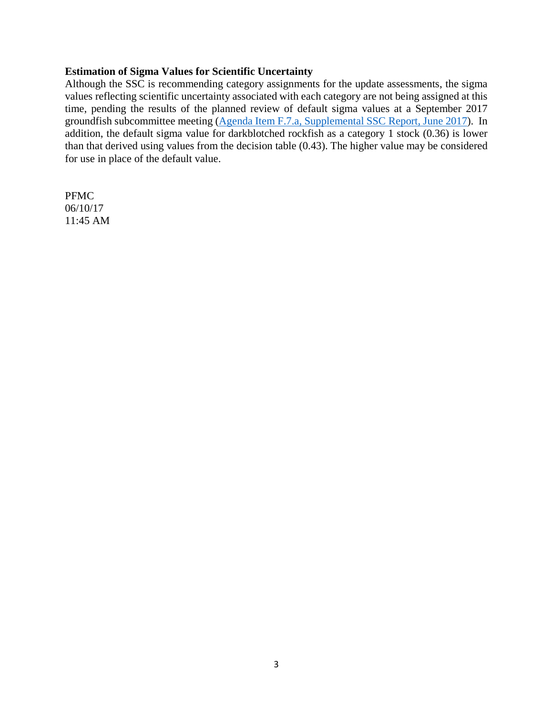### **Estimation of Sigma Values for Scientific Uncertainty**

Although the SSC is recommending category assignments for the update assessments, the sigma values reflecting scientific uncertainty associated with each category are not being assigned at this time, pending the results of the planned review of default sigma values at a September 2017 groundfish subcommittee meeting [\(Agenda Item F.7.a, Supplemental SSC Report, June 2017\)](http://www.pcouncil.org/wp-content/uploads/2017/06/F7a_Sup_SSC_Rpt_Spex_Final_Jun2017BB.pdf). In addition, the default sigma value for darkblotched rockfish as a category 1 stock (0.36) is lower than that derived using values from the decision table (0.43). The higher value may be considered for use in place of the default value.

PFMC 06/10/17 11:45 AM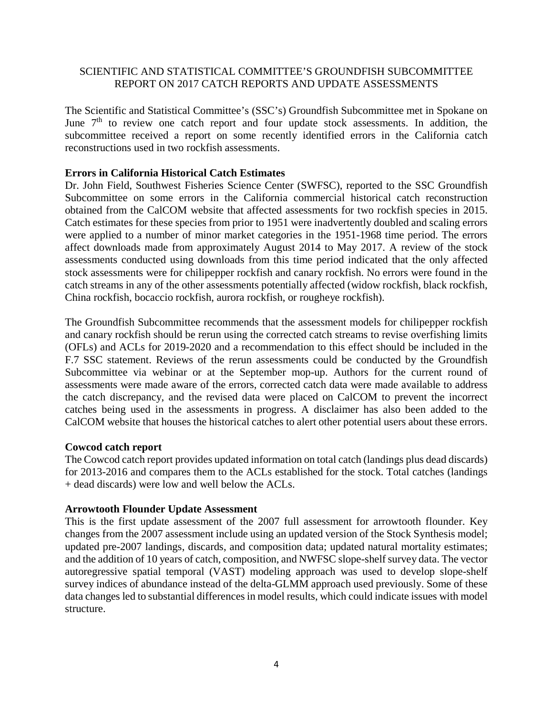# SCIENTIFIC AND STATISTICAL COMMITTEE'S GROUNDFISH SUBCOMMITTEE REPORT ON 2017 CATCH REPORTS AND UPDATE ASSESSMENTS

The Scientific and Statistical Committee's (SSC's) Groundfish Subcommittee met in Spokane on June 7<sup>th</sup> to review one catch report and four update stock assessments. In addition, the subcommittee received a report on some recently identified errors in the California catch reconstructions used in two rockfish assessments.

## **Errors in California Historical Catch Estimates**

Dr. John Field, Southwest Fisheries Science Center (SWFSC), reported to the SSC Groundfish Subcommittee on some errors in the California commercial historical catch reconstruction obtained from the CalCOM website that affected assessments for two rockfish species in 2015. Catch estimates for these species from prior to 1951 were inadvertently doubled and scaling errors were applied to a number of minor market categories in the 1951-1968 time period. The errors affect downloads made from approximately August 2014 to May 2017. A review of the stock assessments conducted using downloads from this time period indicated that the only affected stock assessments were for chilipepper rockfish and canary rockfish. No errors were found in the catch streams in any of the other assessments potentially affected (widow rockfish, black rockfish, China rockfish, bocaccio rockfish, aurora rockfish, or rougheye rockfish).

The Groundfish Subcommittee recommends that the assessment models for chilipepper rockfish and canary rockfish should be rerun using the corrected catch streams to revise overfishing limits (OFLs) and ACLs for 2019-2020 and a recommendation to this effect should be included in the F.7 SSC statement. Reviews of the rerun assessments could be conducted by the Groundfish Subcommittee via webinar or at the September mop-up. Authors for the current round of assessments were made aware of the errors, corrected catch data were made available to address the catch discrepancy, and the revised data were placed on CalCOM to prevent the incorrect catches being used in the assessments in progress. A disclaimer has also been added to the CalCOM website that houses the historical catches to alert other potential users about these errors.

# **Cowcod catch report**

The Cowcod catch report provides updated information on total catch (landings plus dead discards) for 2013-2016 and compares them to the ACLs established for the stock. Total catches (landings + dead discards) were low and well below the ACLs.

### **Arrowtooth Flounder Update Assessment**

This is the first update assessment of the 2007 full assessment for arrowtooth flounder. Key changes from the 2007 assessment include using an updated version of the Stock Synthesis model; updated pre-2007 landings, discards, and composition data; updated natural mortality estimates; and the addition of 10 years of catch, composition, and NWFSC slope-shelf survey data. The vector autoregressive spatial temporal (VAST) modeling approach was used to develop slope-shelf survey indices of abundance instead of the delta-GLMM approach used previously. Some of these data changes led to substantial differences in model results, which could indicate issues with model structure.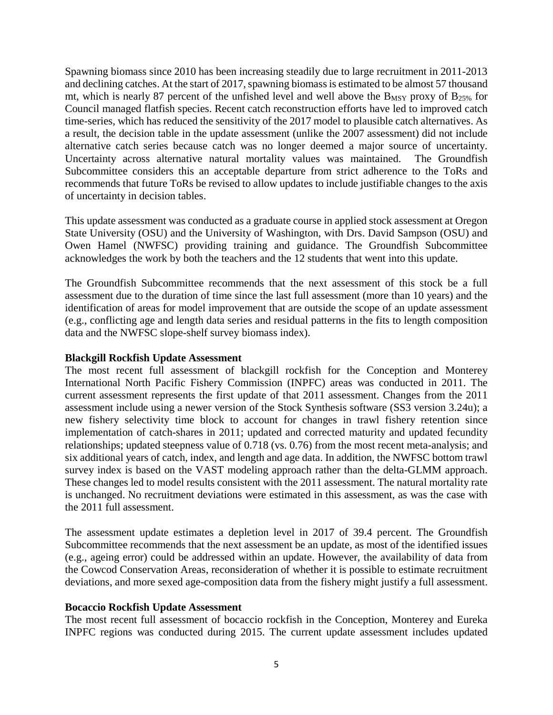Spawning biomass since 2010 has been increasing steadily due to large recruitment in 2011-2013 and declining catches. At the start of 2017, spawning biomass is estimated to be almost 57 thousand mt, which is nearly 87 percent of the unfished level and well above the  $B_{MSY}$  proxy of  $B_{25\%}$  for Council managed flatfish species. Recent catch reconstruction efforts have led to improved catch time-series, which has reduced the sensitivity of the 2017 model to plausible catch alternatives. As a result, the decision table in the update assessment (unlike the 2007 assessment) did not include alternative catch series because catch was no longer deemed a major source of uncertainty. Uncertainty across alternative natural mortality values was maintained. The Groundfish Subcommittee considers this an acceptable departure from strict adherence to the ToRs and recommends that future ToRs be revised to allow updates to include justifiable changes to the axis of uncertainty in decision tables.

This update assessment was conducted as a graduate course in applied stock assessment at Oregon State University (OSU) and the University of Washington, with Drs. David Sampson (OSU) and Owen Hamel (NWFSC) providing training and guidance. The Groundfish Subcommittee acknowledges the work by both the teachers and the 12 students that went into this update.

The Groundfish Subcommittee recommends that the next assessment of this stock be a full assessment due to the duration of time since the last full assessment (more than 10 years) and the identification of areas for model improvement that are outside the scope of an update assessment (e.g., conflicting age and length data series and residual patterns in the fits to length composition data and the NWFSC slope-shelf survey biomass index).

### **Blackgill Rockfish Update Assessment**

The most recent full assessment of blackgill rockfish for the Conception and Monterey International North Pacific Fishery Commission (INPFC) areas was conducted in 2011. The current assessment represents the first update of that 2011 assessment. Changes from the 2011 assessment include using a newer version of the Stock Synthesis software (SS3 version 3.24u); a new fishery selectivity time block to account for changes in trawl fishery retention since implementation of catch-shares in 2011; updated and corrected maturity and updated fecundity relationships; updated steepness value of 0.718 (vs. 0.76) from the most recent meta-analysis; and six additional years of catch, index, and length and age data. In addition, the NWFSC bottom trawl survey index is based on the VAST modeling approach rather than the delta-GLMM approach. These changes led to model results consistent with the 2011 assessment. The natural mortality rate is unchanged. No recruitment deviations were estimated in this assessment, as was the case with the 2011 full assessment.

The assessment update estimates a depletion level in 2017 of 39.4 percent. The Groundfish Subcommittee recommends that the next assessment be an update, as most of the identified issues (e.g., ageing error) could be addressed within an update. However, the availability of data from the Cowcod Conservation Areas, reconsideration of whether it is possible to estimate recruitment deviations, and more sexed age-composition data from the fishery might justify a full assessment.

### **Bocaccio Rockfish Update Assessment**

The most recent full assessment of bocaccio rockfish in the Conception, Monterey and Eureka INPFC regions was conducted during 2015. The current update assessment includes updated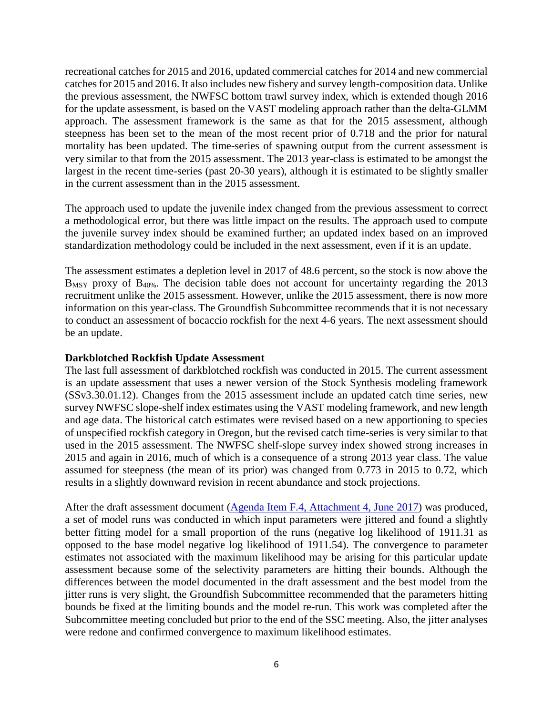recreational catches for 2015 and 2016, updated commercial catches for 2014 and new commercial catches for 2015 and 2016. It also includes new fishery and survey length-composition data. Unlike the previous assessment, the NWFSC bottom trawl survey index, which is extended though 2016 for the update assessment, is based on the VAST modeling approach rather than the delta-GLMM approach. The assessment framework is the same as that for the 2015 assessment, although steepness has been set to the mean of the most recent prior of 0.718 and the prior for natural mortality has been updated. The time-series of spawning output from the current assessment is very similar to that from the 2015 assessment. The 2013 year-class is estimated to be amongst the largest in the recent time-series (past 20-30 years), although it is estimated to be slightly smaller in the current assessment than in the 2015 assessment.

The approach used to update the juvenile index changed from the previous assessment to correct a methodological error, but there was little impact on the results. The approach used to compute the juvenile survey index should be examined further; an updated index based on an improved standardization methodology could be included in the next assessment, even if it is an update.

The assessment estimates a depletion level in 2017 of 48.6 percent, so the stock is now above the B<sub>MSY</sub> proxy of B<sub>40%</sub>. The decision table does not account for uncertainty regarding the 2013 recruitment unlike the 2015 assessment. However, unlike the 2015 assessment, there is now more information on this year-class. The Groundfish Subcommittee recommends that it is not necessary to conduct an assessment of bocaccio rockfish for the next 4-6 years. The next assessment should be an update.

### **Darkblotched Rockfish Update Assessment**

The last full assessment of darkblotched rockfish was conducted in 2015. The current assessment is an update assessment that uses a newer version of the Stock Synthesis modeling framework (SSv3.30.01.12). Changes from the 2015 assessment include an updated catch time series, new survey NWFSC slope-shelf index estimates using the VAST modeling framework, and new length and age data. The historical catch estimates were revised based on a new apportioning to species of unspecified rockfish category in Oregon, but the revised catch time-series is very similar to that used in the 2015 assessment. The NWFSC shelf-slope survey index showed strong increases in 2015 and again in 2016, much of which is a consequence of a strong 2013 year class. The value assumed for steepness (the mean of its prior) was changed from 0.773 in 2015 to 0.72, which results in a slightly downward revision in recent abundance and stock projections.

After the draft assessment document [\(Agenda Item F.4, Attachment 4, June 2017\)](http://www.pcouncil.org/wp-content/uploads/2017/05/F4_Att4_DBRK_2017_Assessment_Update_Full-ElectronicOnly_Jun2017BB.pdf) was produced, a set of model runs was conducted in which input parameters were jittered and found a slightly better fitting model for a small proportion of the runs (negative log likelihood of 1911.31 as opposed to the base model negative log likelihood of 1911.54). The convergence to parameter estimates not associated with the maximum likelihood may be arising for this particular update assessment because some of the selectivity parameters are hitting their bounds. Although the differences between the model documented in the draft assessment and the best model from the jitter runs is very slight, the Groundfish Subcommittee recommended that the parameters hitting bounds be fixed at the limiting bounds and the model re-run. This work was completed after the Subcommittee meeting concluded but prior to the end of the SSC meeting. Also, the jitter analyses were redone and confirmed convergence to maximum likelihood estimates.